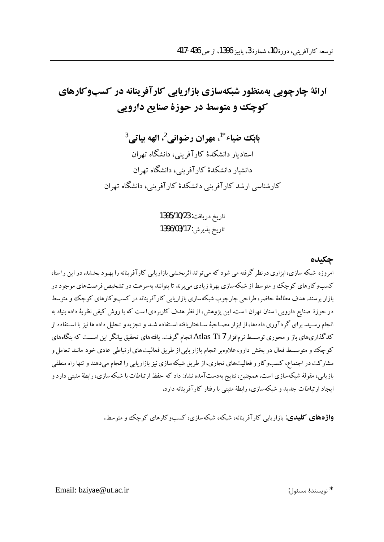## ارائهٔ چارچوپی بهمنظور شبکهسازی بازاریایی کارآفرینانه در کسبوکارهای کوچک و متوسط در حوزهٔ صنایع دارویی

بابك ضياء \*'، مهران رضواني 2، الهه بياتي <sup>3</sup> استادیار دانشکدهٔ کار آفرینی، دانشگاه تهران دانشبار دانشکدهٔ کارآفرینی، دانشگاه تهران کارشناسی ارشد کارآفرینی دانشکدهٔ کارآفرینی، دانشگاه تهران

> تاريخ دريافت: 1395/10/23 تاريخ پذيرش: 1396/03/17

> > حكىدە

امروزه شبکه سازی، ابزاری درنظر گرفته می شود که می تواند اثربخشی بازاریابی کارآفرینانه را بهبود بخشد. در این راستا، کسبوکارهای کوچک و متوسط از شبکهسازی بهرهٔ زیادی می برند تا بتوانند بهسرعت در تشخیص فرصتهای موجود در بازار برسند. هدف مطالعهٔ حاضر، طراحی چارچوب شبکهسازی بازاریابی کارآفرینانه در کسبوکارهای کوچک و متوسط در حوزهٔ صنایع دارویی ا ستان تهران ا ست. این پژوهش، از نظر هدف کاربردی ا ست که با روش کیفی نظریهٔ داده بنیاد به انجام رسـید. برای گردآوری دادهها، از ابزار مصـاحبهٔ سـاختاریافته اسـتفاده شـد و تجزیه و تحلیل داده ها نیز با اسـتفاده از کدگذاریهای باز و محوری توســط نرم|فزار Atlas Ti 7 انجام گرفت. یافتههای تحقیق بیانگر این اســت که بنگاههای کوچک و متوســط فعال در بخش دارو، علاوهبر انجام بازار یابی از طریق فعالیت های ارتباطی عادی خود مانند تعامل و مشارکت در اجتماع، کسبوکار و فعالیتهای تجاری، از طریق شبکه سازی نیز بازاریابی را انجام میدهند و تنها راه منطقی بازیابی، مقولهٔ شبکهسازی است. همچنین، نتایج بهدستآمده نشان داد که حفظ ارتباطات با شبکهسازی، رابطهٔ مثبتی دارد و ایجاد ارتباطات جدید و شبکهسازی، رابطهٔ مثبتی با رفتار کارآفرینانه دارد.

**واژههای کلیدی**: بازار بابی کارآفرینانه، شبکه، شبکهسازی، کسبوکارهای کوچک و متوسط.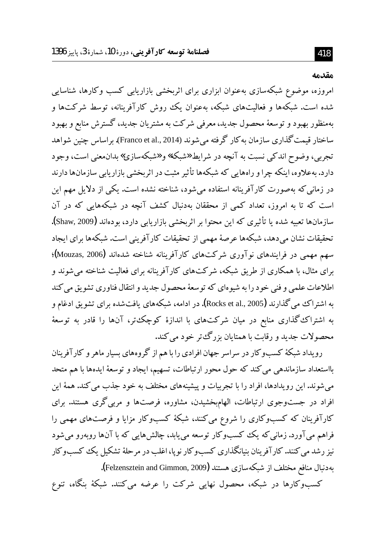مقدمه

امروزه، موضوع شبکهسازی بهعنوان ابزاری برای اثربخشی بازاریابی کسب وکارها، شناسایی شده است. شبکهها و فعالیتهای شبکه، بهعنوان یک روش کارآفرینانه، توسط شرکتها و بهمنظور بهبود و توسعهٔ محصول جدید، معرفی شرکت به مشتریان جدید، گسترش منابع و بهبود ساختار قيمت گذاري سازمان به كار گرفته مي شوند (Franco et al., 2014). براساس چنين شواهد تجربي، وضوح اندكي نسبت به آنچه در شرايط «شبكه» و «شبكهسازي» بدان.عني است، وجود دارد. بهعلاوه، اینکه چرا و راههایی که شبکهها تأثیر مثبت در اثربخشی بازاریابی سازمانها دارند در زمانی که بهصورت کارآفرینانه استفاده میشود، شناخته نشده است. یکی از دلایل مهم این است که تا به امروز، تعداد کمی از محققان بهدنبال کشف آنچه در شبکههایی که در آن سازمانها تعبیه شده یا تأثیری که این محتوا بر اثربخشی بازاریابی دارد، بودهاند (Shaw, 2009). تحقیقات نشان میدهد، شبکهها عرصهٔ مهمی از تحقیقات کارآفرینی است. شبکهها برای ایجاد سهم مهمی در فرایندهای نوآوری شرکتهای کارآفرینانه شناخته شدهاند (Mouzas, 2006)؛ برای مثال، با همکاری از طریق شبکه، شرکتهای کارآفرینانه برای فعالیت شناخته می شوند و اطلاعات علمي و فني خو د را به شبو هاي كه توسعهٔ محصول جديد و انتقال فناو دي تشويق مي كند به اشتراک می گذارند (Rocks et al., 2005). در ادامه، شبکههای یافتشده برای تشویق ادغام و به اشتراک گذاری منابع در میان شرکتهای با اندازهٔ کوچک تر، آنها را قادر به توسعهٔ محصولات جديد و رقابت با همتايان بزرگءتر خود مي كند.

رویداد شبکهٔ کسبوکار در سراسر جهان افرادی را با هم از گروههای بسیار ماهر و کارآفرینان بااستعداد سازماندهی می کند که حول محور ارتباطات، تسهیم، ایجاد و توسعهٔ ایدهها با هم متحد می شوند. این رویدادها، افراد را با تجربیات و پیشینههای مختلف به خود جذب می کند. همهٔ این افراد در جستوجوی ارتباطات، الهامبخشیدن، مشاوره، فرصتها و مربی گری هستند. برای کارآفرینان که کسبوکاری را شروع میکنند، شبکهٔ کسبوکار مزایا و فرصتهای مهمی را فراهم مي آورد. زماني كه يك كسبوكار توسعه مي يابد، چالش هايي كه با آنها روبهرو مي شود نیز رشد می کنند. کار آفرینان بنیانگذاری کسبوکار نوپا، اغلب در مرحلهٔ تشکیل یک کسبوکار بهدنبال منافع مختلف از شبکهسازی هستند (Felzensztein and Gimmon, 2009**).** 

کسبوکارها در شبکه، محصول نهایی شرکت را عرضه میکنند. شبکهٔ بنگاه، تنوع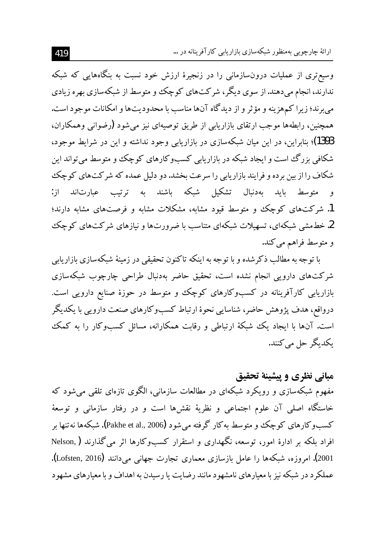وسیعتری از عملیات درون $بازمانی را در زنجیرهٔ ارزش خود نسبت به بنگاههایی که شبکه$ ندارند، انجام میدهند. از سوی دیگر، شرکتهای کوچک و متوسط از شبکهسازی بهره زیادی می برند؛ زیرا کمهزینه و مؤثر و از دیدگاه آنها مناسب با محدودیتها و امکانات موجود است. همچنین، رابطهها موجب ارتقای بازاریابی از طریق توصیهای نیز می شود (رضوانی وهمکاران، 1393)؛ بنابراین، در این میان شبکهسازی در بازاریابی وجود نداشته و این در شرایط موجود، شکافی بزرگ است و ایجاد شبکه در بازاریابی کسبوکارهای کوچک و متوسط می تواند این شکاف را از بین برده و فرایند بازاریابی را سرعت بخشد. دو دلیل عمده که شرکتهای کوچک و متوسط باید بهدنبال تشکیل شبکه باشند به ترتیب عبارتاند از: 1. شرکتهای کوچک و متوسط قیود مشابه، مشکلات مشابه و فرصتهای مشابه دارند؛ 2. خطمشی شبکهای، تسهیلات شبکهای متناسب با ضرورتها و نیازهای شرکتهای کوچک و متوسط فراهم می کند.

با توجه به مطالب ذکر شده و با توجه به اینکه تاکنون تحقیقی در زمینهٔ شبکهسازی بازاریابی شرکتهای دارویی انجام نشده است، تحقیق حاضر بهدنبال طراحی چارچوب شبکهسازی بازاریابی کارآفرینانه در کسبوکارهای کوچک و متوسط در حوزهٔ صنایع دارویی است. درواقع، هدف یژوهش حاضر، شناسایی نحوهٔ ارتباط کسبوکارهای صنعت دارویی با یکدیگر است. آنها با ایجاد یک شبکهٔ ارتباطی و رقابت همکارانه، مسائل کسبوکار را به کمک بكدبگر حل می كنند.

## مباني نظري و پيشينهٔ تحقيق

مفهوم شبکهسازی و رویکرد شبکهای در مطالعات سازمانی، الگوی تازهای تلقی می شود که خاستگاه اصلی آن علوم اجتماعی و نظریهٔ نقشها است و در رفتار سازمانی و توسعهٔ کسبوکارهای کوچک و متوسط بهکار گرفته می شود (Pakhe et al., 2006). شبکهها نه تنها بر افراد بلکه بر ادارهٔ امور، توسعه، نگهداری و استقرار کسبوکارها اثر می گذارند ( Nelson, 2001). امروزه، شبکهها را عامل بازسازی معماری تجارت جهانی میدانند (Lofsten, 2016). عملکرد در شبکه نیز با معیارهای نامشهود مانند رضایت یا رسیدن به اهداف و با معیارهای مشهود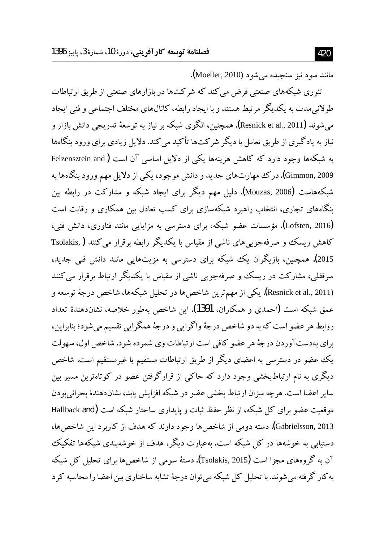مانند سود نيز سنجيده مي شود (Moeller, 2010).

تئوری شبکههای صنعتی فرض می کند که شرکتها در بازارهای صنعتی از طریق ارتباطات طولانی مدت به یکدیگر مرتبط هستند و با ایجاد رابطه، کانالهای مختلف اجتماعی و فنی ایجاد مي شوند (Resnick et al., 2011**). همچنين، ال**گوي شبكه بر نياز به توسعهٔ تدريجي دانش بازار و نیاز به یادگیری از طریق تعامل با دیگر شرکتها تأکید می کند. دلایل زیادی برای ورود بنگاهها به شبکهها وجود دارد که کاهش هزینهها یکی از دلایل اساسی آن است ( Felzensztein and Gimmon, 2009). درک مهارتهای جدید و دانش موجود، یکی از دلایل مهم ورود بنگاهها به شبکههاست (Mouzas, 2006). دلیل مهم دیگر برای ایجاد شبکه و مشارکت در رابطه بین بنگاههای تجاری، انتخاب راهبرد شبکهسازی برای کسب تعادل بین همکاری و رقابت است (Lofsten, 2016). مؤسسات عضو شبکه، برای دسترسی به مزایایی مانند فناوری، دانش فنی، کاهش ریسک و صرفهجویی های ناشی از مقیاس با یکدیگر رابطه برقرار می کنند ( Tsolakis ۔<br>2015). همچنین، بازیگران یک شبکه برای دسترسی به مزیتهایی مانند دانش فنی جدید، سرقفلی، مشارکت در ریسک و صرفهجویی ناشی از مقیاس با یکدیگر ارتباط برقرار می کنند (Resnick et al., 2011). يكي از مهمترين شاخصها در تحليل شبكهها، شاخص درجهٔ توسعه و عمق شبکه است (احمدی و همکاران، 1391). این شاخص بهطور خلاصه، نشاندهندهٔ تعداد روابط هر عضو است که به دو شاخص درجهٔ واگرایی و درجهٔ همگرایی تقسیم میشود؛ بنابراین، براي بهدستآوردن درجهٔ هر عضو كافي است ارتباطات وي شمرده شود. شاخص اول، سهولت یک عضو در دسترسی به اعضای دیگر از طریق ارتباطات مستقیم یا غیرمستقیم است. شاخص دیگری به نام ارتباطبخشی وجود دارد که حاکمی از قرارگرفتن عضو در کوتاهترین مسیر بین سایر اعضا است. هرچه میزان ارتباط بخشی عضو در شبکه افزایش پابد، نشاندهندهٔ بحرانی بودن موقعیت عضو برای کل شبکه، از نظر حفظ ثبات و پایداری ساختار شبکه است (Hallback and Gabrielsson, 2013). دسته دومی از شاخص ها وجود دارند که هدف از کاربرد این شاخص ها، دستبایی به خوشهها در کل شبکه است. بهعبارت دیگر، هدف از خوشهندی شبکهها تفکیک آن به گروههای مجزا است (Tsolakis, 2015). دستهٔ سومی از شاخص ها برای تحلیل کل شبکه به کار گرفته می شوند. با تحلیل کل شبکه می توان درجهٔ تشابه ساختاری بین اعضا را محاسبه کر د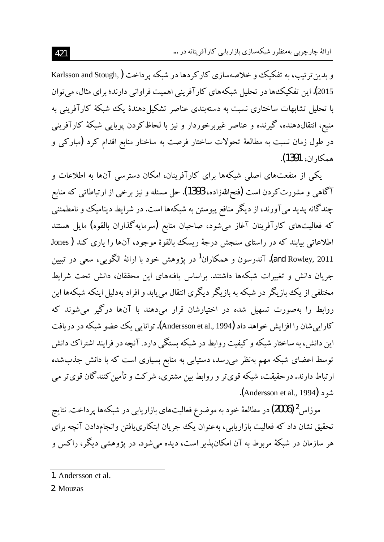و بدین تر تیب، به تفکیک و خلاصهسازی کارکردها در شبکه پرداخت (Karlsson and Stough, 2015). این تفکیک ها در تحلیل شبکههای کارآفرینی اهمیت فراوانی دارند؛ برای مثال، می توان با تحلیل تشابهات ساختاری نسبت به دستهبندی عناصر تشکیل دهندهٔ یک شبکهٔ کارآفرینی به منبع، انتقالدهنده، گیرنده و عناصر غیربرخوردار و نیز با لحاظکردن یویایی شبکهٔ کارآفرینی در طول زمان نسبت به مطالعهٔ تحولات ساختار فرصت به ساختار منابع اقدام کرد (مبارکی و همكاران، 1391).

یکی از منفعتهای اصلی شبکهها برای کارآفرینان، امکان دسترسی آنها به اطلاعات و آگاهي و مشورت کردن است (فتحاللهزاده، 1393). حل مسئله و نيز برخي از ارتباطاتي که منابع چندگانه پدید می آورند، از دیگر منافع پیوستن به شبکهها است. در شرایط دینامیک و نامطمئنی که فعالیتهای کارآفرینان آغاز می شود، صاحبان منابع (سرمایهگذاران بالقوه) مایل هستند اطلاعاتی بیابند که در راستای سنجش درجهٔ ریسک بالقوهٔ موجود، آنها را یاری کند ( Jones and Rowley, 2011**).** آندرسون و همکاران<sup>1</sup> در یژوهش خود با ارائهٔ الگویی، سعی در تبیین جریان دانش و تغییرات شبکهها داشتند. براساس یافتههای این محققان، دانش تحت شرایط مختلفی از یک بازیگر در شبکه به بازیگر دیگری انتقال می یابد و افراد بهدلیل اینکه شبکهها این روابط را بهصورت تسهیل شده در اختیارشان قرار میدهند با آنها درگیر میشوند که کارایی شان را افزایش خواهد داد (Andersson et al., 1994). توانایی یک عضو شبکه در دریافت این دانش، به ساختار شبکه و کیفیت روابط در شبکه بستگی دارد. آنچه در فرایند اشتراک دانش توسط اعضای شبکه مهم بهنظر می رسد، دستیابی به منابع بسیاری است که با دانش جذب شده ارتباط دارند. درحقیقت، شبکه قوی تر و روابط بین مشتری، شرکت و تأمین کنندگان قوی تر می شود (Andersson et al., 1994).

موزاس <sup>2</sup> (2006) در مطالعهٔ خود به موضوع فعالیتهای بازاریابی در شبکهها پرداخت. نتایج تحقیق نشان داد که فعالیت بازاریابی، بهعنوان یک جریان ابتکاری یافتن وانجامدادن آنچه برای هر سازمان در شبکهٔ مربوط به آن امکان پذیر است، دیده می شود. در یژوهشی دیگر، راکس و

2. Mouzas

<sup>1.</sup> Andersson et al.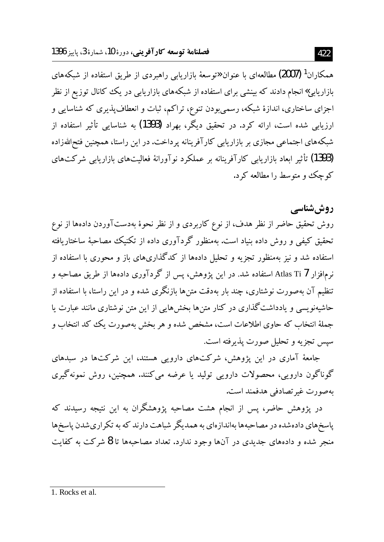همکاران<sup>1</sup> (2007) مطالعهای با عنوان «توسعهٔ بازاریابی راهبردی از طریق استفاده از شبکههای بازاریابی» انجام دادند که بینشی برای استفاده از شبکههای بازاریابی در یک کانال توزیع از نظر اجزای ساختاری، اندازهٔ شبکه، رسمیٖبودن تنوع، تراکم، ثبات و انعطافپذیری که شناسایی و ارزیابی شده است، ارائه کرد. در تحقیق دیگر، بهراد (1393) به شناسایی تأثیر استفاده از شبکههای اجتماعی مجازی بر بازاریابی کارآفرینانه پرداخت. در این راستا، همچنین فتحاللهزاده (1393) تأثیر ابعاد بازاریابی کارآفرینانه بر عملکرد نوآورانهٔ فعالیتهای بازاریابی شرکتهای کو چک و متوسط را مطالعه کر د.

روششناسی

روش تحقیق حاضر از نظر هدف، از نوع کاربردی و از نظر نحوهٔ بهدستآوردن دادهها از نوع تحقیق کیفی و روش داده بنیاد است. بهمنظور گردآوری داده از تکنیک مصاحبهٔ ساختاریافته استفاده شد و نیز مهمنظور تجزیه و تحلیل دادهها از کدگذاریهای باز و محوری با استفاده از نرمافزار Atlas Ti 7 استفاده شد. در این پژوهش، پس از گردآوری دادهها از طریق مصاحبه و تنظیم آن بهصورت نوشتاری، چند بار بهدقت متن ها بازنگری شده و در این راستا، با استفاده از حاشیهنویسی و یادداشت گذاری در کنار متنها بخشهایی از این متن نوشتاری مانند عبارت یا جملهٔ انتخاب که حاوی اطلاعات است، مشخص شده و هر بخش بهصورت یک ککد انتخاب و سيس تجزيه و تحليل صورت يذيرفته است.

جامعهٔ آماری در این پژوهش، شرکتهای دارویی هستند، این شرکتها در سبدهای گوناگون دارویی، محصولات دارویی تولید یا عرضه می کنند. همچنین، روش نمونهگیری بهصورت غير تصادفي هدفمند است.

در پژوهش حاضر، پس از انجام هشت مصاحبه پژوهشگران به این نتیجه رسیدند که یاسخهای دادهشده در مصاحبهها بهاندازهای به همدیگر شباهت دارند که به تکر اریشدن یاسخها منجر شده و دادههای جدیدی در آنها وجود ندارد. تعداد مصاحبهها تا 8 شرکت به کفایت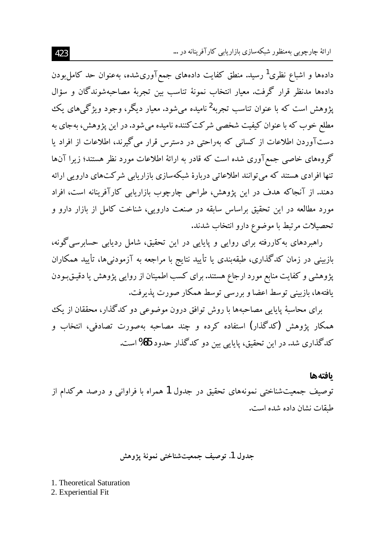ارائهٔ جارجویی بهمنظور شبکهسازی بازار بابی کارآفرینانه در …

دادهها و اشباع نظری<sup>1</sup> رسید. منطق کفایت دادههای جمعآوریشده، بهعنوان حد کامل<sub>ا</sub>بودن دادهها مدنظر قرار گرفت. معيار انتخاب نمونهٔ تناسب بين تجربهٔ مصاحبهشوندگان و سؤال پژوهش است که با عنوان تناسب تجربه<sup>2</sup>نامیده می شود. معیار دیگر، وجود ویژگ<sub>ه ه</sub>ای بک مطلع خوب که با عنوان کیفیت شخصی شرکت کننده نامیده می شود. در این پژوهش، بهجای به دستآوردن اطلاعات از کسانی که بهراحتی در دسترس قرار می گیرند، اطلاعات از افراد یا گروههای خاصی جمع آوری شده است که قادر به ارائهٔ اطلاعات مورد نظر هستند؛ زیرا آنها تنها افرادی هستند که می توانند اطلاعاتی دربارهٔ شبکهسازی بازاریابی شرکتهای دارویی ارائه دهند. از آنجاکه هدف در این پژوهش، طراحی چارچوب بازاریابی کارآفرینانه است، افراد مورد مطالعه در این تحقیق براساس سابقه در صنعت دارویی، شناخت کامل از بازار دارو و تحصيلات مرتبط با موضوع دارو انتخاب شدند.

راهبردهای بهکاررفته برای روایی و پایایی در این تحقیق، شامل ردیابی حسابرسی گونه، بازبینی در زمان کدگذاری، طبقهبندی یا تأیید نتایج با مراجعه به آزمودنیها، تأیید همکاران پژوهشی و کفایت منابع مورد ارجاع هستند. برای کسب اطمینان از روایی پژوهش یا دقیـق بـودن يافتهها، بازبيني توسط اعضا و بررسي توسط همكار صورت يذيرفت.

برای محاسبهٔ پایایی مصاحبهها با روش توافق درون موضوعی دو کدگذار، محققان از یک همکار یژوهش (کدگذار) استفاده کرده و چند مصاحبه بهصورت تصادفی، انتخاب و كدگذاري شد. در اين تحقيق، پايايي بين دو كدگذار حدود 85% است.

بافتهها توصیف جمعیتشناختی نمونههای تحقیق در جدول 1 همراه با فراوانی و درصد هرکدام از طبقات نشان داده شده است.

## جدول 1. توصيف جمعيتشناختي نمونهٔ يژوهش

1. Theoretical Saturation 2. Experiential Fit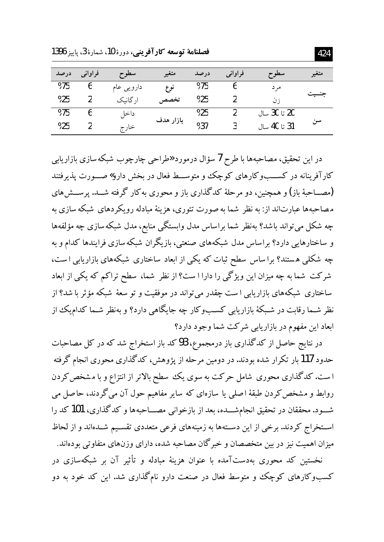فصلنامة توسعه كارآفويني، دورة 10، شمارة 3، ياسز 1396

| درصد | فراواني | سطوح       | متغير     | درصد | فراواني | - سطوح       | متغير |
|------|---------|------------|-----------|------|---------|--------------|-------|
| %75  | O       | دارویی عام | نوع       | %75  |         | مرد          |       |
| %25  | າ       | ار گانیک   | تخصص      | %25  |         | ز ن          | تىسىد |
| %75  | o       | داخا       |           | %25  |         | 20 تا 30 سال |       |
| %25  |         | خارج       | بازار هدف | %37  |         | 31 تا 40 سال | سن    |

در این تحقیق، مصاحبهها با طرح 7 سؤال درمورد «طراحی چارچوب شبکه سازی بازاریابی کارآفرینانه در کســبوکارهای کوچک و متوســط فعال در بخش دارو»صــورت پذیرفتند (مصـــاحبهٔ باز) و همچنین، دو مرحلهٔ کدگذاری باز و محوری به کار گرفته شـــد. پرســـش های مصاحبهها عبارتاند از: به نظر ً شما به صورت تئوري، هزينهٔ مبادله رويكر دهاي ً شبكه سازي به چه شکل می تواند باشد؟ بهنظر شما براساس مدل وابستگی منابع، مدل شبکه سازی چه مؤلفهها و ساختارهایی دارد؟ براساس مدل شبکههای صنعتی، بازیگران شبکهسازی فرایندها کدام و به چه شکلی هستند؟ برا ساس سطح ثبات که یکی از ابعاد ساختاری شبکههای بازاریابی است، شرکت شما به چه میزان این ویژگی را دارا ا ست؟ از نظر ً شما، سطح تراکم که یکی از ابعاد ساختاری شبکههای بازاریابی ا ست چقدر می تواند در موفقیت و تو سعهٔ شبکه مؤثر با شد؟ از نظر شـما رقابت در شـبکهٔ بازاریابی کسـبوکار چه جایگاهی دارد؟ و بهنظر شـما کدامیک از ابعاد این مفهوم در بازاریابی شرکت شما وجود دارد؟

در نتایج حاصل از کدگذاری باز درمجموع، 93کد باز استخراج شد که در کل مصاحبات حدود 117 بار تکر ار شده بودند. در دومین مرحله از یژوهش، کدگذاری محوری انجام گرفته ا ست. کدگذاری محوری شامل حرکت به سوی یک سطح بالاتر از انتزاع و با مشخص کردن روابط و مشخص کردن طبقهٔ اصلی یا سازهای که سایر مفاهیم حول آن می گردند، حاصل می شـــود. محققان در تحقیق انجامشـــده، بعد از بازخوانی مصـــاحبهها و کدگذاری، 101 کد را استخراج کردند. برخی از این دستهها به زمینههای فرعی متعددی تقسیم شـدهاند و از لحاظ میزان اهمیت نیز در بین متخصصان و خبر گان مصاحبه شده، دارای وزنهای متفاوتی بودهاند. نخستین کد محوری بهدستآمده با عنوان هزینهٔ مبادله و تأثیر آن بر شبکهسازی در

کسبوکارهای کوچک و متوسط فعال در صنعت دارو نامگذاری شد. این کد خود به دو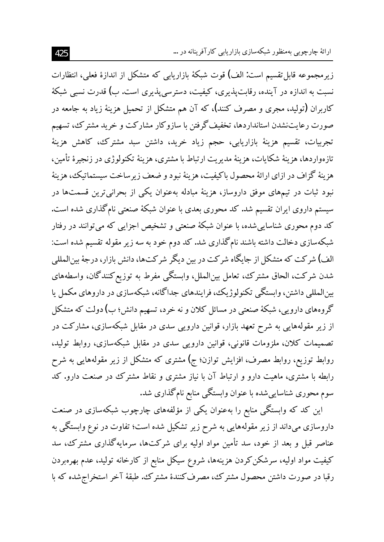زیرمجموعه قابل تقسیم است: الف) قوت شبکهٔ بازاریابی که متشکل از اندازهٔ فعلی، انتظارات نسبت به اندازه در آینده، رقابت پذیری، کیفیت، دسترسی پذیری است. ب) قدرت نسبی شبکهٔ کاربران (تولید، مجری و مصرف کنند)، که آن هم متشکل از تحمیل هزینهٔ زیاد به جامعه در صورت رعایتنشدن استانداردها، تخفیف گرفتن با سازوکار مشارکت و خرید مشترک، تسهیم تجريبات، تقسيم هزينهٔ بازاريابي، حجم زياد خريد، داشتن سبد مشترك، كاهش هزينهٔ تازهواردها، هزينهٔ شكايات، هزينهٔ مديريت ارتباط با مشترى، هزينهٔ تكنولوژي در زنجيرهٔ تأمين، هزينهٔ گزاف در ازاي ارائهٔ محصول باكيفيت، هزينهٔ نبود و ضعف زير ساخت سيستماتيك، هزينهٔ نبود ثبات در تیمهای موفق داروساز، هزینهٔ مبادله بهعنوان یکی از بحرانی ترین قسمتها در سیستم داروی ایران تقسیم شد. کد محوری بعدی با عنوان شبکهٔ صنعتی نامگذاری شده است. کد دوم محوری شناساییشده، با عنوان شبکهٔ صنعتی و تشخیص اجزایی که میتوانند در رفتار شبکهسازی دخالت داشته باشند نامگذاری شد. کد دوم خود به سه زیر مقوله تقسیم شده است: الف) شرکت که متشکل از جایگاه شرکت در بین دیگر شرکتها، دانش بازار، درجهٔ بین|لمللی شدن شركت، الحاق مشترك، تعامل بينالملل، وابستگي مفرط به توزيع كنندگان، واسطههاي بینالمللی داشتن، وابستگی تکنولوژیک، فرایندهای جداگانه، شبکهسازی در داروهای مکمل یا گروههای دارویی، شبکهٔ صنعتی در مسائل کلان و نه خرد، تسهیم دانش؛ ب) دولت که متشکل از زیر مقولههایی به شرح تعهد بازار، قوانین دارویی سدی در مقابل شبکهسازی، مشارکت در تصمیمات کلان، ملزومات قانونی، قوانین دارویی سدی در مقابل شبکهسازی، روابط تولید، روابط توزیع، روابط مصرف، افزایش توازن؛ ج) مشتری که متشکل از زیر مقولههایی به شرح رابطه با مشتری، ماهیت دارو و ارتباط آن با نیاز مشتری و نقاط مشترک در صنعت دارو. کد سوم محوری شناساییشده با عنوان وابستگی منابع نامگذاری شد.

این کد که وابستگی منابع را بهعنوان یکی از مؤلفههای چارچوب شبکهسازی در صنعت داروسازی میداند از زیر مقولههایی به شرح زیر تشکیل شده است؛ تفاوت در نوع وابستگی به عناصر قبل و بعد از خود، سد تأمین مواد اولیه برای شرکتها، سرمایهگذاری مشترک، سد کیفیت مواد اولیه، سرشکن کردن هزینهها، شروع سیکل منابع از کارخانه تولید، عدم بهرهبردن رقبا در صورت داشتن محصول مشترک، مصرف کنندهٔ مشترک. طبقهٔ آخر استخراج شده که با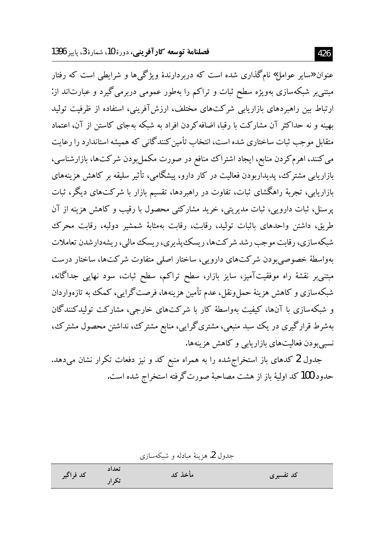عنوان «سایر عوامل» نامگذاری شده است که دربردارندهٔ ویژگیها و شرایطی است که رفتار مبتنی بر شبکهسازی بهویژه سطح ثبات و تراکم را بهطور عمومی دربرمی گیرد و عبارتاند از: ارتباط بین راهبردهای بازاریابی شرکتهای مختلف، ارزش آفرینی، استفاده از ظرفیت تولید بهینه و نه حداکثر آن مشارکت با رقبا، اضافه کردن افراد به شبکه بهجای کاستن از آن، اعتماد متقابل موجب ثبات ساختاري شده است، انتخاب تأمين كنندگاني كه هميشه استاندارد را رعايت می کنند، اهرم کردن منابع، ایجاد اشتراک منافع در صورت مکمل بودن شرکتها، بازارشناسی، بازاریابی مشترک، پدیداریودن فعالیت در کار دارو، پیشگامی، تأثیر سلیقه بر کاهش هزینههای بازاریابی، تجربهٔ راهگشای ثبات، تفاوت در راهبردها، تقسیم بازار با شرکتهای دیگر، ثبات یرسنل، ثبات دارویی، ثبات مدیریتی، خرید مشارکتی محصول با رقیب و کاهش هزینه از آن طریق، داشتن واحدهای باثبات تولید، رقابت، رقابت بهمثابهٔ شمشیر دولیه، رقابت محرک شبکهسازی، رقابت موجب رشد شرکتها، ریسک پذیری، ریسک مالی، ریشهدارشدن تعاملات بهواسطهٔ خصوصی بودن شرکتهای دارویی، ساختار اصلی متفاوت شرکتها، ساختار درست مبتنی بر نقشهٔ راه موفقیتآمیز، سایز بازار، سطح تراکم، سطح ثبات، سود نهایی جداگانه، شبکهسازی و کاهش هزینهٔ حملونقل، عدم تأمین هزینهها، فرصت گرایی، کمک به تازهواردان و شبکهسازی با آنها، کیفیت بهواسطهٔ کار با شرکتهای خارجی، مشارکت تولیدکنندگان بهشرط قرارگیری در یک سبد منبعی، مشتریگرایی، منابع مشترک، نداشتن محصول مشترک، نسبي بودن فعاليتهاي بازاريابي وكاهش هزينهها.

جدول 2 کدهای باز استخراج شده را به همراه منبع کد و نیز دفعات تکرار نشان میدهد. حدود 100 كد اوليهٔ باز از هشت مصاحبهٔ صورت گرفته استخراج شده است.

جدول 2. هزينهٔ مبادله و شبکهسازی

| كد فراگير | تعداد | مأخذ كد | کد تفسیری |
|-----------|-------|---------|-----------|
|           | تک ا, |         |           |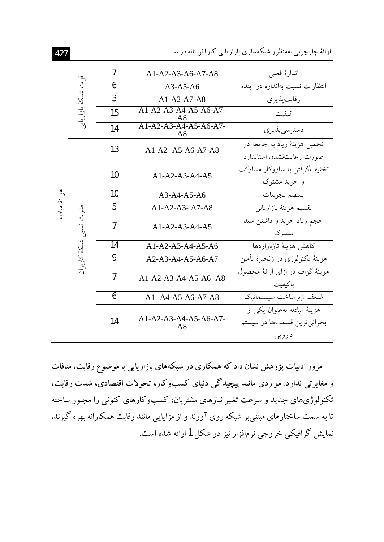ارائهٔ چارچوبی بهمنظور شبکهسازی بازاریابی کارآفرینانه در …

| $\overline{1}$                                  | $A1-A2-A3-A6-A7-A8$           | اندازة فعلى                                                           |
|-------------------------------------------------|-------------------------------|-----------------------------------------------------------------------|
| 6                                               | $A3-A5-A6$                    | انتظارات نسبت بهاندازه در أينده                                       |
| $\overline{3}$                                  | $A1-A2-A7-A8$                 | رقابت پذيري                                                           |
| 15                                              | $A1-A2-A3-A4-A5-A6-A7-$<br>A8 | كىفىت                                                                 |
| 14                                              | A8                            | دسترسىپذيرى                                                           |
|                                                 | A1-A2-A5-A6-A7-A8             | تحميل هزينهٔ زياد به جامعه در                                         |
|                                                 |                               | صورت رعايت نشدن استاندارد                                             |
|                                                 | $A1-A2-A3-A4-A5$              | تخفیفگر فتن با سازوکار مشارکت                                         |
|                                                 |                               | و خرید مشترک                                                          |
| 10                                              | $A3-A4-A5-A6$                 | تسهيم تجربيات                                                         |
| 5                                               | $A1-A2-A3- A7-A8$             | تقسيم هزينهٔ بازاريابي                                                |
| 7                                               | $A1-A2-A3-A4-A5$              | حجم زياد خريد و داشتن سبد<br>مشترک                                    |
| 14                                              | $A1-A2-A3-A4-A5-A6$           | كاهش هزينة تازهواردها                                                 |
| 9                                               | A2-A3-A4-A5-A6-A7             | هزينهٔ تکنولوژی در زنجيرهٔ تأمين                                      |
| 7                                               | $A1-A2-A3-A4-A5-A6-A8$        | هزینهٔ گزاف در ازای ارائهٔ محصول<br>باكيفيت                           |
| 6                                               | A1-A4-A5-A6-A7-A8             | ضعف زيرساخت سيستماتيك                                                 |
| 14                                              | $A1-A2-A3-A4-A5-A6-A7-$<br>A8 | هزينهٔ مبادله بهعنوان يکي از<br>بحراني ترين قسمتها در سيستم<br>دارویی |
| قوت شبكة بازاريابر<br>قدرت<br>نسبى شبكة كاربران | 13<br>10                      | $A1-A2-A3-A4-A5-A6-A7-$                                               |

مرور ادبیات پژوهش نشان داد که همکاری در شبکههای بازاریابی با موضوع رقابت، منافات و مغایرتی ندارد. مواردی مانند پیچیدگی دنیای کسبوکار، تحولات اقتصادی، شدت رقابت، .<br>تکنولوژیهای جدید و سرعت تغییر نیازهای مشتریان، کسبوکارهای کنونی را مجبور ساخته تا به سمت ساختارهای مبتنی بر شبکه روی آورند و از مزایایی مانند رقابت همکارانه بهره گیرند. نمایش گرافیکی خروجی نرمافزار نیز در شکل 1 ارائه شده است.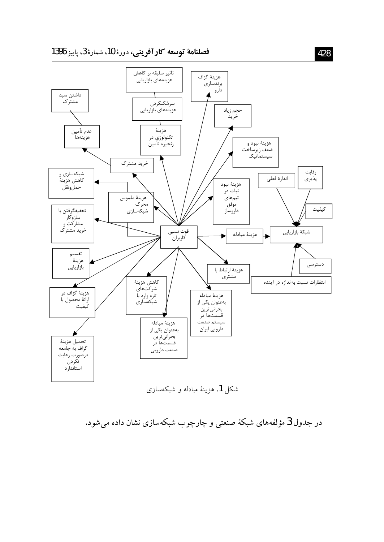

شکل 1. هزینهٔ مبادله و شبکهسازی

در جدول 3 مؤلفههای شبکهٔ صنعتی و چارچوب شبکهسازی نشان داده میشود.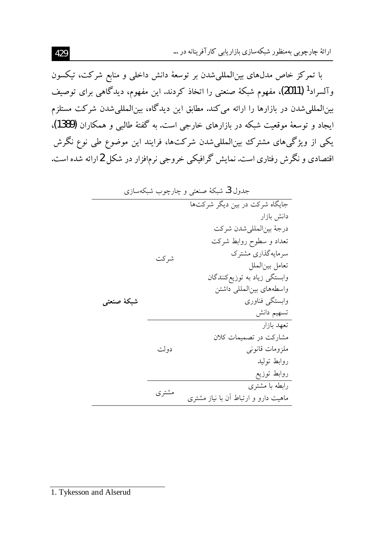ارائهٔ چارچوبی بهمنظور شبکهسازی بازاریابی کارآفرینانه در …

با تمرکز خاص مدلهای بینالمللیشدن بر توسعهٔ دانش داخلی و منابع شرکت، تیکسون وآلسراد<sup>1</sup> (2011)، مفهوم شبکهٔ صنعتی را اتخاذ کردند. این مفهوم، دیدگاهی برای توصیف بین|لمللی شدن در بازارها را ارائه می کند. مطابق این دیدگاه، بین|لمللی شدن شرکت مستلزم ایجاد و توسعهٔ موقعیت شبکه در بازارهای خارجی است. به گفتهٔ طالبی و همکاران (1389)، یکی از ویژگیهای مشترک بین|لمللیشدن شرکتها، فرایند این موضوع طی نوع نگرش اقتصادی و نگرش رفتاری است. نمایش گرافیکی خروجی نرمافزار در شکل 2ارائه شده است.

1. Tykesson and Alserud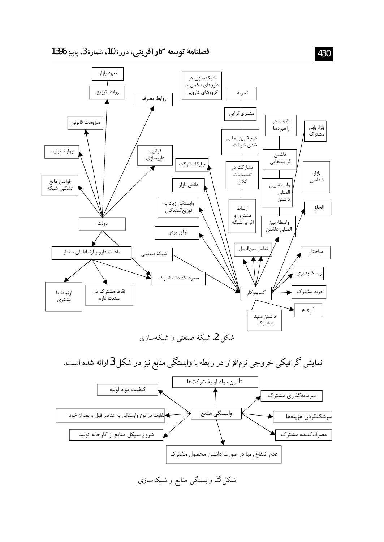



شکل 3. وابستگی منابع و شبکهسازی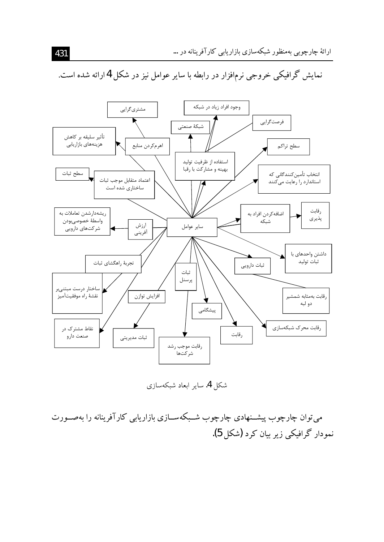

نمایش گرافیکی خروجی نرمافزار در رابطه با سایر عوامل نیز در شکل 4ارائه شده است.

شکل 4. سایر ابعاد شبکهسازی

می توان چارچوب پیشــنهادی چارچوب شــبکهســازی بازاریابی کارآفرینانه را بهصــورت نمودار گرافیکی زیر بیان کرد (شکل 5).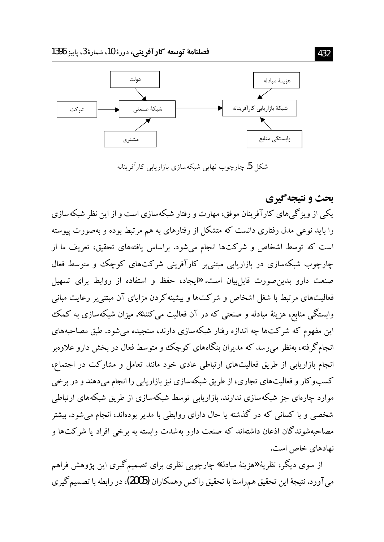

شکل 5. چارچوب نهایی شبکهسازی بازاریابی کارآفرینانه

بحث و نتيجه گيري یکی از ویژگی های کارآفرینان موفق، مهارت و رفتار شبکهسازی است و از این نظر شبکهسازی را باید نوعی مدل رفتاری دانست که متشکل از رفتارهای به هم مرتبط بوده و بهصورت پیوسته است که توسط اشخاص و شرکتها انجام می شود. براساس یافتههای تحقیق، تعریف ما از چارچوب شبکهسازی در بازاریابی مبتنی بر کارآفرینی شرکتهای کوچک و متوسط فعال صنعت دارو بدین صورت قابل بیان است. «ایجاد، حفظ و استفاده از روابط برای تسهیل فعالیتهای مرتبط با شغل اشخاص و شرکتها و بیشینه کردن مزایای آن مبتنی بر رعایت مبانی وابستگی منابع، هزینهٔ مبادله و صنعتی که در آن فعالیت می کنند». میزان شبکهسازی به کمک این مفهوم که شرکتها چه اندازه رفتار شبکهسازی دارند، سنجیده می شود. طبق مصاحبههای انجامگرفته، بهنظر می٫رسد که مدیران بنگاههای کوچک و متوسط فعال در بخش دارو علاوهبر انجام بازاریابی از طریق فعالیتهای ارتباطی عادی خود مانند تعامل و مشارکت در اجتماع، کسبوکار و فعالیتهای تجاری، از طریق شبکهسازی نیز بازاریابی را انجام میدهند و در برخی موارد چارهای جز شبکهسازی ندارند. بازاریابی توسط شبکهسازی از طریق شبکههای ارتباطی شخصی و با کسانی که در گذشته یا حال دارای روابطی با مدیر بودهاند، انجام میشود. بیشتر مصاحبهشوندگان اذعان داشتهاند که صنعت دارو بهشدت وابسته به برخی افراد یا شرکتها و نهادهای خاص است.

از سوی دیگر، نظریهٔ «هزینهٔ مبادله» چارچوبی نظری برای تصمیمگیری این پژوهش فراهم ميآورد. نتيجة اين تحقيق همراستا با تحقيق راكس وهمكاران (2005)، در رابطه با تصميم گيري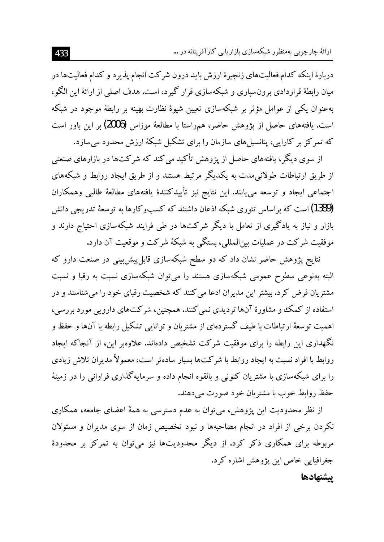دربارهٔ اینکه کدام فعالیتهای زنجیرهٔ ارزش باید درون شرکت انجام یذیرد و کدام فعالیتها در میان رابطهٔ قراردادی برونسپاری و شبکهسازی قرار گیرد، است. هدف اصلی از ارائهٔ این الگو، بهعنوان یکی از عوامل مؤثر بر شبکهسازی تعیین شیوهٔ نظارت بهینه بر رابطهٔ موجود در شبکه است. یافتههای حاصل از پژوهش حاضر، همراستا با مطالعهٔ موزاس (2006) بر این باور است که تمرکز بر کارایی، پتانسیلمهای سازمان را برای تشکیل شبکهٔ ارزش محدود می سازد.

از سوی دیگر، یافتههای حاصل از یژوهش تأکید می کند که شرکتها در بازارهای صنعتی از طریق ارتباطات طولانی مدت به یکدیگر مرتبط هستند و از طریق ایجاد روابط و شبکههای اجتماعی ایجاد و توسعه می یابند. این نتایج نیز تأییدکنندهٔ یافتههای مطالعهٔ طالبی وهمکاران (1389) است که براساس تئوری شبکه اذعان داشتند که کسبوکارها به توسعهٔ تدریجی دانش بازار و نیاز به یادگیری از تعامل با دیگر شرکتها در طی فرایند شبکهسازی احتیاج دارند و موفقیت شرکت در عملیات بین(لمللی، بستگی به شبکهٔ شرکت و موقعیت آن دارد.

.<br>نتایج پژوهش حاضر نشان داد که دو سطح شبکهسازی قابل پیش بینی در صنعت دارو که البته بهنوعی سطوح عمومی شبکهسازی هستند را می توان شبکهسازی نسبت به رقبا و نسبت مشتریان فرض کرد. بیشتر این مدیران ادعا می کنند که شخصیت رقبای خود را می شناسند و در استفاده از کمک و مشاورهٔ آنها تردیدی نمی کنند. همچنین، شرکتهای دارویی مورد بررسی، اهمیت توسعهٔ ارتباطات با طیف گستردهای از مشتریان و توانایی تشکیل رابطه با آنها و حفظ و نگهداری این رابطه را برای موفقیت شرکت تشخیص دادهاند. علاوهبر این، از آنجاکه ایجاد روابط با افراد نسبت به ایجاد روابط با شرکتها بسیار سادهتر است، معمولاً مدیران تلاش زیادی را برای شبکهسازی با مشتریان کنونی و بالقوه انجام داده و سرمایهگذاری فراوانی را در زمینهٔ حفظ روابط خوب با مشتريان خود صورت مي دهند.

از نظر محدودیت این پژوهش، می توان به عدم دسترسی به همهٔ اعضای جامعه، همکاری نکردن برخی از افراد در انجام مصاحبهها و نبود تخصیص زمان از سوی مدیران و مسئولان مربوطه برای همکاری ذکر کرد. از دیگر محدودیتها نیز میتوان به تمرکز بر محدودهٔ جغرافیایی خاص این یژوهش اشاره کرد. يشنهادها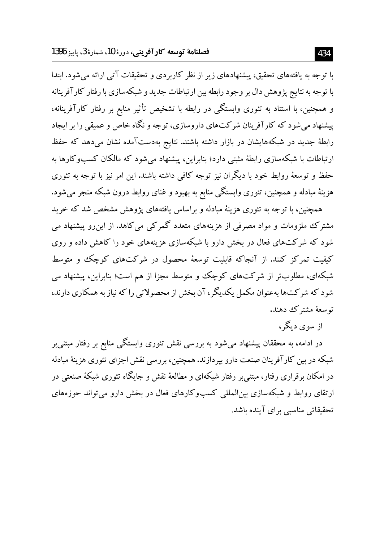با توجه به یافتههای تحقیق، پیشنهادهای زیر از نظر کاربردی و تحقیقات آتی ارائه می شود. ابتدا با توجه به نتایج پژوهش دال بر وجود رابطه بین ارتباطات جدید و شبکهسازی با رفتار کار آفر بنانه و همچنین، با استناد به تئوری وابستگی در رابطه با تشخیص تأثیر منابع بر رفتار کارآفرینانه، پیشنهاد می شود که کارآفرینان شرکتهای داروسازی، توجه و نگاه خاص و عمیقی را بر ایجاد رابطهٔ جدید در شبکههایشان در بازار داشته باشند. نتایج بهدستآمده نشان میردهد که حفظ ارتباطات با شبکهسازی رابطهٔ مثبتی دارد؛ بنابراین، پیشنهاد می شود که مالکان کسبوکارها به حفظ و توسعهٔ روابط خود با دیگران نیز توجه کافی داشته باشند. این امر نیز با توجه به تئوری هزینهٔ مبادله و همچنین، تئوری وابستگی منابع به بهبود و غنای روابط درون شبکه منجر می شود.

همچنین، با توجه به تئوری هزینهٔ مبادله و براساس یافتههای یژوهش مشخص شد که خرید مشترک ملزومات و مواد مصرفی از هزینههای متعدد گمرکی می کاهد. از این رو پیشنهاد می شود که شرکتهای فعال در بخش دارو با شبکهسازی هزینههای خود را کاهش داده و روی کیفیت تمرکز کنند. از آنجاکه قابلیت توسعهٔ محصول در شرکتهای کوچک و متوسط شبکهای، مطلوبتر از شرکتهای کوچک و متوسط مجزا از هم است؛ بنابراین، پیشنهاد می شود که شرکتها بهعنوان مکمل یکدیگر ، آن بخش از محصولاتی را که نیاز به همکاری دارند، توسعهٔ مشترک دهند.

از سوی دیگر،

در ادامه، به محققان پیشنهاد میشود به بررسی نقش تئوری وابستگی منابع بر رفتار مبتنی بر شبکه در بین کارآفرینان صنعت دارو بیر دازند. همچنین، بررسی نقش اجزای تئوری هزینهٔ مبادله در امکان برقراری رفتار، مبتنی بر رفتار شبکهای و مطالعهٔ نقش و جایگاه تئوری شبکهٔ صنعتی در ارتقای روابط و شبکهسازی بین|لمللمی کسبوکارهای فعال در بخش دارو می تواند حوزههای تحقیقاتی مناسبی برای آینده باشد.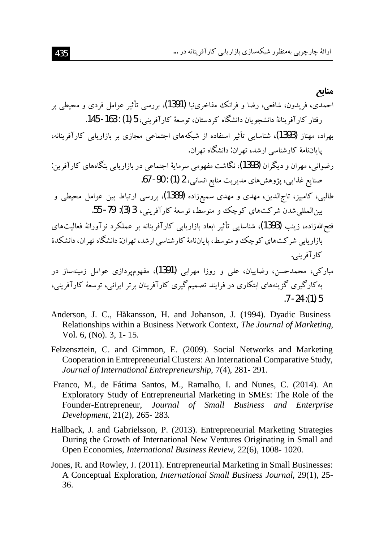$.7 - 24$ : (1) 5

- Anderson, J. C., Håkansson, H. and Johanson, J. (1994). Dyadic Business Relationships within a Business Network Context, The Journal of Marketing, Vol. 6, (No). 3, 1-15.
- Felzensztein, C. and Gimmon, E. (2009). Social Networks and Marketing Cooperation in Entrepreneurial Clusters: An International Comparative Study, Journal of International Entrepreneurship, 7(4), 281-291.
- Franco, M., de Fátima Santos, M., Ramalho, I. and Nunes, C. (2014). An Exploratory Study of Entrepreneurial Marketing in SMEs: The Role of the Founder-Entrepreneur, Journal of Small Business and Enterprise Development, 21(2), 265-283.
- Hallback, J. and Gabrielsson, P. (2013). Entrepreneurial Marketing Strategies During the Growth of International New Ventures Originating in Small and Open Economies, International Business Review, 22(6), 1008-1020.
- Jones, R. and Rowley, J. (2011). Entrepreneurial Marketing in Small Businesses: A Conceptual Exploration, International Small Business Journal, 29(1), 25-36.